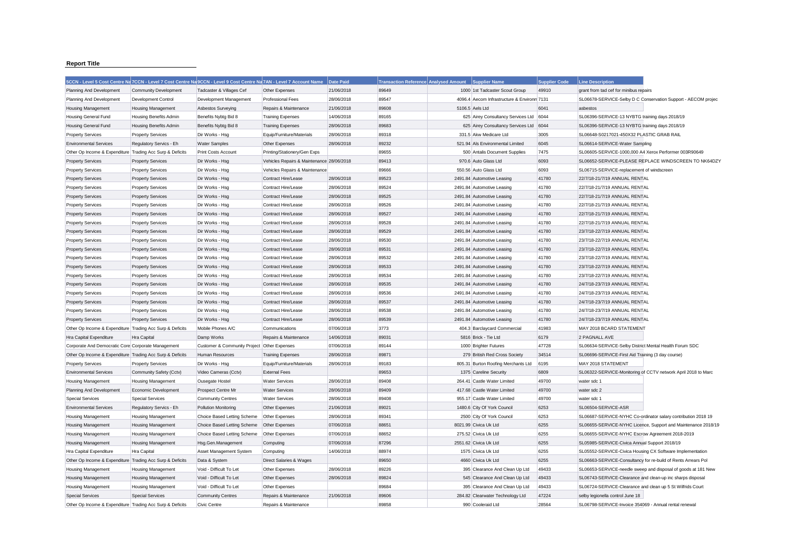## **Report Title**

|                                                           |                                                      | 5CCN - Level 5 Cost Centre Na 7CCN - Level 7 Cost Centre Na 9CCN - Level 9 Cost Centre Na 7AN - Level 7 Account Name |                                            | Date Paid                | <b>Transaction Reference Analysed Amount</b> | <b>Supplier Name</b>                                     | <b>Supplier Code</b> | <b>Line Description</b>                                        |
|-----------------------------------------------------------|------------------------------------------------------|----------------------------------------------------------------------------------------------------------------------|--------------------------------------------|--------------------------|----------------------------------------------|----------------------------------------------------------|----------------------|----------------------------------------------------------------|
| Planning And Development                                  | <b>Community Development</b>                         | Tadcaster & Villages Cef                                                                                             | Other Expenses                             | 21/06/2018               | 89649                                        | 1000 1st Tadcaster Scout Group                           | 49910                | grant from tad cef for minibus repairs                         |
| Planning And Development                                  | Development Control                                  | Development Management                                                                                               | <b>Professional Fees</b>                   | 28/06/2018               | 89547                                        | 4096.4 Aecom Infrastructure & Environm 7131              |                      | SL06678-SERVICE-Selby D C Conservation Support - AECOM projec  |
| <b>Housing Management</b>                                 | <b>Housing Management</b>                            | Asbestos Surveying                                                                                                   | Repairs & Maintenance                      | 21/06/2018               | 89608                                        | 5106.5 Aels Ltd                                          | 6041                 | ashestos                                                       |
| Housing General Fund                                      | <b>Housing Benefits Admin</b>                        | Benefits Nybtg Bid 8                                                                                                 | <b>Training Expenses</b>                   | 14/06/2018               | 89165                                        | 625 Airey Consultancy Services Ltd 6044                  |                      | SL06396-SERVICE-13 NYBTG training days 2018/19                 |
| <b>Housing General Fund</b>                               | Housing Benefits Admin                               | Benefits Nybtg Bid 8                                                                                                 | <b>Training Expenses</b>                   | 28/06/2018               | 89683                                        | 625 Airey Consultancy Services Ltd 6044                  |                      | SL06396-SERVICE-13 NYBTG training days 2018/19                 |
| <b>Property Services</b>                                  | <b>Property Services</b>                             | Dir Works - Hsg                                                                                                      | Equip/Furniture/Materials                  | 28/06/2018               | 89318                                        | 331.5 Akw Medicare Ltd                                   | 3005                 | SL06648-S0217021-450X32 PLASTIC GRAB RAIL                      |
| <b>Environmental Services</b>                             | Regulatory Servics - Eh                              | <b>Water Samples</b>                                                                                                 | Other Expenses                             | 28/06/2018               | 89232                                        | 521.94 Als Environmental Limited                         | 6045                 | SL06614-SERVICE-Water Sampling                                 |
| Other Op Income & Expenditure Trading Acc Surp & Deficits |                                                      | Print Costs Account                                                                                                  | Printing/Stationery/Gen Exps               |                          | 89655                                        | 500 Antalis Document Supplies                            | 7475                 | SL06605-SERVICE-1000,000 A4 Xerox Performer 003R90649          |
| <b>Property Services</b>                                  | <b>Property Services</b>                             | Dir Works - Hsa                                                                                                      | Vehicles Repairs & Maintenance 28/06/2018  |                          | 89413                                        | 970.6 Auto Glass Ltd                                     | 6093                 | SL06652-SERVICE-PLEASE REPLACE WINDSCREEN TO NK64DZY           |
| <b>Property Services</b>                                  | <b>Property Services</b>                             | Dir Works - Hsg                                                                                                      | Vehicles Repairs & Maintenance             |                          | 89666                                        | 550.56 Auto Glass Ltd                                    | 6093                 | SL06715-SERVICE-replacement of windscreen                      |
| <b>Property Services</b>                                  | <b>Property Services</b>                             | Dir Works - Hsg                                                                                                      | Contract Hire/Lease                        | 28/06/2018               | 89523                                        | 2491.84 Automotive Leasing                               | 41780                | 22/7/18-21/7/19 ANNUAL RENTAL                                  |
| <b>Property Services</b>                                  | <b>Property Services</b>                             | Dir Works - Hsg                                                                                                      | Contract Hire/Lease                        | 28/06/2018               | 89524                                        | 2491.84 Automotive Leasing                               | 41780                | 22/7/18-21/7/19 ANNUAL RENTAL                                  |
| <b>Property Services</b>                                  | <b>Property Services</b>                             | Dir Works - Hsg                                                                                                      | Contract Hire/Lease                        | 28/06/2018               | 89525                                        | 2491.84 Automotive Leasing                               | 41780                | 22/7/18-21/7/19 ANNUAL RENTAL                                  |
| <b>Property Services</b>                                  | <b>Property Services</b>                             | Dir Works - Hsg                                                                                                      | Contract Hire/Lease                        | 28/06/2018               | 89526                                        | 2491.84 Automotive Leasing                               | 41780                | 22/7/18-21/7/19 ANNUAL RENTAL                                  |
| <b>Property Services</b>                                  | <b>Property Services</b>                             | Dir Works - Hsg                                                                                                      | Contract Hire/Lease                        | 28/06/2018               | 89527                                        | 2491.84 Automotive Leasing                               | 41780                | 22/7/18-21/7/19 ANNUAL RENTAL                                  |
| <b>Property Services</b>                                  | <b>Property Services</b>                             | Dir Works - Hsg                                                                                                      | Contract Hire/Lease                        | 28/06/2018               | 89528                                        | 2491.84 Automotive Leasing                               | 41780                | 22/7/18-21/7/19 ANNUAL RENTAL                                  |
| <b>Property Services</b>                                  | <b>Property Services</b>                             | Dir Works - Hsg                                                                                                      | Contract Hire/Lease                        | 28/06/2018               | 89529                                        | 2491.84 Automotive Leasing                               | 41780                | 23/7/18-22/7/19 ANNUAL RENTAL                                  |
| <b>Property Services</b>                                  | <b>Property Services</b>                             | Dir Works - Hsg                                                                                                      | Contract Hire/Lease                        | 28/06/2018               | 89530                                        | 2491.84 Automotive Leasing                               | 41780                | 23/7/18-22/7/19 ANNUAL RENTAL                                  |
|                                                           | <b>Property Services</b>                             | Dir Works - Hsg                                                                                                      | Contract Hire/Lease                        | 28/06/2018               | 89531                                        | 2491.84 Automotive Leasing                               | 41780                | 23/7/18-22/7/19 ANNUAL RENTAL                                  |
| <b>Property Services</b>                                  |                                                      | Dir Works - Hsg                                                                                                      | Contract Hire/Lease                        | 28/06/2018               | 89532                                        | 2491.84 Automotive Leasing                               | 41780                | 23/7/18-22/7/19 ANNUAL RENTAL                                  |
| <b>Property Services</b>                                  | <b>Property Services</b><br><b>Property Services</b> | Dir Works - Hsg                                                                                                      | Contract Hire/Lease                        | 28/06/2018               | 89533                                        | 2491.84 Automotive Leasing                               | 41780                | 23/7/18-22/7/19 ANNUAL RENTAL                                  |
| <b>Property Services</b>                                  |                                                      |                                                                                                                      |                                            |                          |                                              |                                                          |                      |                                                                |
| <b>Property Services</b>                                  | <b>Property Services</b>                             | Dir Works - Hsg<br>Dir Works - Hsg                                                                                   | Contract Hire/Lease<br>Contract Hire/Lease | 28/06/2018<br>28/06/2018 | 89534<br>89535                               | 2491.84 Automotive Leasing<br>2491.84 Automotive Leasing | 41780<br>41780       | 23/7/18-22/7/19 ANNUAL RENTAL<br>24/7/18-23/7/19 ANNUAL RENTAL |
| <b>Property Services</b>                                  | <b>Property Services</b>                             | Dir Works - Hsg                                                                                                      | Contract Hire/Lease                        | 28/06/2018               | 89536                                        | 2491.84 Automotive Leasing                               | 41780                | 24/7/18-23/7/19 ANNUAL RENTAL                                  |
| <b>Property Services</b>                                  | <b>Property Services</b>                             |                                                                                                                      | Contract Hire/Lease                        |                          | 89537                                        |                                                          | 41780                | 24/7/18-23/7/19 ANNUAL RENTAL                                  |
| <b>Property Services</b>                                  | <b>Property Services</b>                             | Dir Works - Hsg                                                                                                      |                                            | 28/06/2018               | 89538                                        | 2491.84 Automotive Leasing                               | 41780                | 24/7/18-23/7/19 ANNUAL RENTAL                                  |
| <b>Property Services</b>                                  | <b>Property Services</b>                             | Dir Works - Hsg                                                                                                      | Contract Hire/Lease                        | 28/06/2018               |                                              | 2491.84 Automotive Leasing                               |                      |                                                                |
| <b>Property Services</b>                                  | <b>Property Services</b>                             | Dir Works - Hsg                                                                                                      | <b>Contract Hire/Lease</b>                 | 28/06/2018               | 89539                                        | 2491.84 Automotive Leasing                               | 41780                | 24/7/18-23/7/19 ANNUAL RENTAL                                  |
| Other Op Income & Expenditure Trading Acc Surp & Deficits |                                                      | Mobile Phones A/C                                                                                                    | Communications                             | 07/06/2018               | 3773                                         | 404.3 Barclaycard Commercial                             | 41983                | MAY 2018 BCARD STATEMENT                                       |
| Hra Capital Expenditure                                   | Hra Capital                                          | Damp Works                                                                                                           | Repairs & Maintenance                      | 14/06/2018               | 89031                                        | 5816 Brick - Tie Ltd                                     | 6179                 | 2 PAGNALL AVE                                                  |
| Corporate And Democratic Core Corporate Management        |                                                      | Customer & Community Project Other Expenses                                                                          |                                            | 07/06/2018               | 89144                                        | 1000 Brighter Futures                                    | 47728                | SL06634-SERVICE-Selby District Mental Health Forum SDC         |
| Other Op Income & Expenditure Trading Acc Surp & Deficits |                                                      | <b>Human Resources</b>                                                                                               | <b>Training Expenses</b>                   | 28/06/2018               | 89871                                        | 279 British Red Cross Society                            | 34514                | SL06696-SERVICE-First Aid Training (3 day course)              |
| <b>Property Services</b>                                  | <b>Property Services</b>                             | Dir Works - Hsg                                                                                                      | Equip/Furniture/Materials                  | 28/06/2018               | 89183                                        | 805.31 Burton Roofing Merchants Ltd                      | 6195                 | MAY 2018 STATEMENT                                             |
| <b>Environmental Services</b>                             | Community Safety (Cctv)                              | Video Cameras (Cctv)                                                                                                 | <b>External Fees</b>                       |                          | 89653                                        | 1375 Careline Security                                   | 6809                 | SL06322-SERVICE-Monitoring of CCTV network April 2018 to Marc  |
| <b>Housing Management</b>                                 | <b>Housing Management</b>                            | Ousegate Hostel                                                                                                      | <b>Water Services</b>                      | 28/06/2018               | 89408                                        | 264.41 Castle Water Limited                              | 49700                | water sdc 1                                                    |
| Planning And Development                                  | Economic Development                                 | <b>Prospect Centre Mr</b>                                                                                            | <b>Water Services</b>                      | 28/06/2018               | 89409                                        | 417.68 Castle Water Limited                              | 49700                | water sdc 2                                                    |
| <b>Special Services</b>                                   | <b>Special Services</b>                              | <b>Community Centres</b>                                                                                             | <b>Water Services</b>                      | 28/06/2018               | 89408                                        | 955.17 Castle Water Limited                              | 49700                | water sdc 1                                                    |
| <b>Environmental Services</b>                             | Regulatory Servics - Eh                              | <b>Pollution Monitoring</b>                                                                                          | Other Expenses                             | 21/06/2018               | 89021                                        | 1480.6 City Of York Council                              | 6253                 | SL06504-SERVICE-ASR                                            |
| <b>Housing Management</b>                                 | <b>Housing Management</b>                            | Choice Based Letting Scheme                                                                                          | Other Expenses                             | 28/06/2018               | 89341                                        | 2500 City Of York Council                                | 6253                 | SL06687-SERVICE-NYHC Co-ordinator salary contribution 2018 19  |
| Housing Management                                        | <b>Housing Management</b>                            | Choice Based Letting Scheme                                                                                          | Other Expenses                             | 07/06/2018               | 88651                                        | 8021.99 Civica Uk Ltd                                    | 6255                 | SL06655-SERVICE-NYHC Licence, Support and Maintenance 2018/19  |
| <b>Housing Management</b>                                 | <b>Housing Management</b>                            | Choice Based Letting Scheme                                                                                          | Other Expenses                             | 07/06/2018               | 88652                                        | 275.52 Civica Uk Ltd                                     | 6255                 | SL06655-SERVICE-NYHC Escrow Agreement 2018-2019                |
| Housing Management                                        | Housing Management                                   | Hsg.Gen.Management                                                                                                   | Computing                                  | 07/06/2018               | 87296                                        | 2551.62 Civica Uk Ltd                                    | 6255                 | SL05985-SERVICE-Civica Annual Support 2018/19                  |
| Hra Capital Expenditure                                   | Hra Capital                                          | Asset Management System                                                                                              | Computing                                  | 14/06/2018               | 88974                                        | 1575 Civica Uk Ltd                                       | 6255                 | SL05552-SERVICE-Civica Housing CX Software Implementation      |
| Other Op Income & Expenditure Trading Acc Surp & Deficits |                                                      | Data & System                                                                                                        | Direct Salaries & Wages                    |                          | 89650                                        | 4660 Civica Uk Ltd                                       | 6255                 | SL06663-SERVICE-Consultancy for re-build of Rents Arrears Pol  |
| <b>Housing Management</b>                                 | <b>Housing Management</b>                            | Void - Difficult To Let                                                                                              | Other Expenses                             | 28/06/2018               | 89226                                        | 395 Clearance And Clean Up Ltd                           | 49433                | SL06653-SERVICE-needle sweep and disposal of goods at 181 New  |
| Housing Management                                        | <b>Housing Management</b>                            | Void - Difficult To Let                                                                                              | Other Expenses                             | 28/06/2018               | 89824                                        | 545 Clearance And Clean Up Ltd                           | 49433                | SL06743-SERVICE-Clearance and clean-up inc sharps disposal     |
| Housing Management                                        | Housing Management                                   | Void - Difficult To Let                                                                                              | Other Expenses                             |                          | 89684                                        | 395 Clearance And Clean Up Ltd                           | 49433                | SL06724-SERVICE-Clearance and clean up 5 St Wilfrids Court     |
| <b>Special Services</b>                                   | <b>Special Services</b>                              | <b>Community Centres</b>                                                                                             | Repairs & Maintenance                      | 21/06/2018               | 89606                                        | 284.82 Clearwater Technology Ltd                         | 47224                | selby legionella control June 18                               |
| Other Op Income & Expenditure Trading Acc Surp & Deficits |                                                      | Civic Centre                                                                                                         | Repairs & Maintenance                      |                          | 89858                                        | 990 Cooleraid Ltd                                        | 28564                | SL06798-SERVICE-Invoice 354069 - Annual rental renewal         |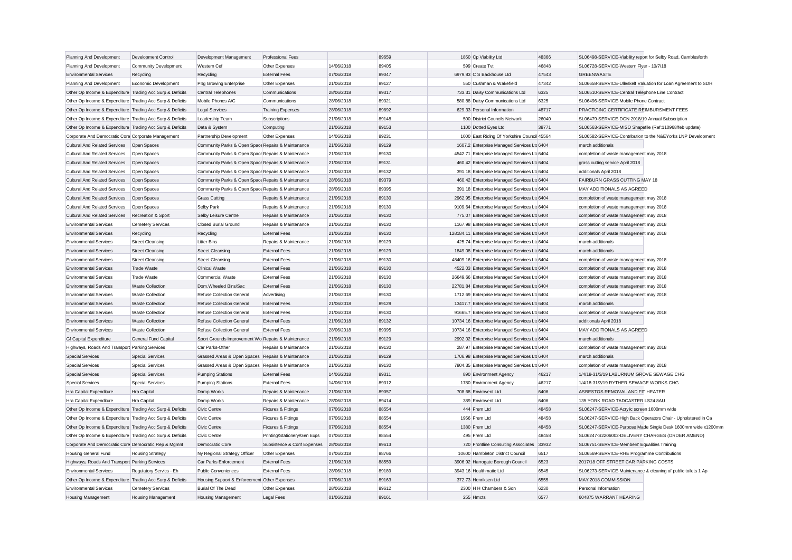| Planning And Development                                                                   | Development Control          | Development Management                                | Professional Fees            |                          | 89659 | 1850 Cp Viability Ltd                                                   | 48366 | SL06498-SERVICE-Viability report for Selby Road, Camblesforth                        |                                                               |
|--------------------------------------------------------------------------------------------|------------------------------|-------------------------------------------------------|------------------------------|--------------------------|-------|-------------------------------------------------------------------------|-------|--------------------------------------------------------------------------------------|---------------------------------------------------------------|
| Planning And Development                                                                   | <b>Community Development</b> | Western Cef                                           | Other Expenses               | 14/06/2018               | 89405 | 599 Create Tvt                                                          | 46848 | SL06728-SERVICE-Western Flyer - 10/7/18                                              |                                                               |
| <b>Environmental Services</b>                                                              | Recycling                    | Recycling                                             | <b>External Fees</b>         | 07/06/2018               | 89047 | 6979.83 C S Backhouse Ltd                                               | 47543 | <b>GREENWASTE</b>                                                                    |                                                               |
| Planning And Development                                                                   | Economic Development         | P4g Growing Enterprise                                | Other Expenses               | 21/06/2018               | 89127 | 550 Cushman & Wakefield                                                 | 47342 |                                                                                      | SL06658-SERVICE-Ulleskelf Valuation for Loan Agreement to SDH |
| Other Op Income & Expenditure Trading Acc Surp & Deficits                                  |                              | <b>Central Telephones</b>                             | Communications               | 28/06/2018               | 89317 | 733.31 Daisy Communications Ltd                                         | 6325  | SL06510-SERVICE-Central Telephone Line Contract                                      |                                                               |
| Other Op Income & Expenditure Trading Acc Surp & Deficits                                  |                              | Mobile Phones A/C                                     | Communications               | 28/06/2018               | 89321 | 580.88 Daisy Communications Ltd                                         | 6325  | SL06496-SERVICE-Mobile Phone Contract                                                |                                                               |
| Other Op Income & Expenditure Trading Acc Surp & Deficits                                  |                              | <b>Legal Services</b>                                 | <b>Training Expenses</b>     | 28/06/2018               | 89892 | 629.33 Personal Information                                             | 48717 | PRACTICING CERTIFICATE REIMBURSMENT FEES                                             |                                                               |
| Other Op Income & Expenditure Trading Acc Surp & Deficits                                  |                              | Leadership Team                                       | Subscriptions                | 21/06/2018               | 89148 | 500 District Councils Network                                           | 26040 | SL06479-SERVICE-DCN 2018/19 Annual Subscription                                      |                                                               |
| Other Op Income & Expenditure Trading Acc Surp & Deficits                                  |                              | Data & System                                         | Computing                    | 21/06/2018               | 89153 | 1100 Dotted Eves Ltd                                                    | 38771 | SL06563-SERVICE-MISO Shapefile (Ref:110968/feb update)                               |                                                               |
| Corporate And Democratic Core Corporate Management                                         |                              | Partnership Development                               | Other Expenses               | 14/06/2018               | 89231 | 1000 East Riding Of Yorkshire Council 45564                             |       |                                                                                      | SL06582-SERVICE-Contribution to the N&EYorks LNP Development  |
| <b>Cultural And Related Services</b>                                                       | Open Spaces                  | Community Parks & Open Space Repairs & Maintenance    |                              | 21/06/2018               | 89129 | 1607.2 Enterprise Managed Services Ltc 6404                             |       | march additionals                                                                    |                                                               |
| Cultural And Related Services                                                              | Open Spaces                  | Community Parks & Open Space Repairs & Maintenance    |                              | 21/06/2018               | 89130 | 4542.71 Enterprise Managed Services Ltd 6404                            |       | completion of waste management may 2018                                              |                                                               |
| <b>Cultural And Related Services</b>                                                       | Open Spaces                  | Community Parks & Open Space Repairs & Maintenance    |                              | 21/06/2018               | 89131 | 460.42 Enterprise Managed Services Ltd 6404                             |       | grass cutting service April 2018                                                     |                                                               |
| <b>Cultural And Related Services</b>                                                       | Open Spaces                  | Community Parks & Open Space Repairs & Maintenance    |                              | 21/06/2018               | 89132 | 391.18 Enterprise Managed Services Ltd 6404                             |       | additionals April 2018                                                               |                                                               |
| Cultural And Related Services                                                              | Open Spaces                  | Community Parks & Open Space Repairs & Maintenance    |                              | 28/06/2018               | 89379 | 460.42 Enterprise Managed Services Ltd 6404                             |       | FAIRBURN GRASS CUTTING MAY 18                                                        |                                                               |
| Cultural And Related Services                                                              | Open Spaces                  | Community Parks & Open Space Repairs & Maintenance    |                              | 28/06/2018               | 89395 | 391.18 Enterprise Managed Services Ltd 6404                             |       | MAY ADDITIONALS AS AGREED                                                            |                                                               |
| Cultural And Related Services                                                              | Open Spaces                  | <b>Grass Cutting</b>                                  | Repairs & Maintenance        | 21/06/2018               | 89130 | 2962.95 Enterprise Managed Services Ltc 6404                            |       | completion of waste management may 2018                                              |                                                               |
| Cultural And Related Services                                                              | Open Spaces                  | Selby Park                                            | Repairs & Maintenance        | 21/06/2018               | 89130 | 9109.64 Enterprise Managed Services Ltd 6404                            |       | completion of waste management may 2018                                              |                                                               |
| Cultural And Related Services                                                              | Recreation & Sport           | Selby Leisure Centre                                  | Repairs & Maintenance        | 21/06/2018               | 89130 | 775.07 Enterprise Managed Services Ltc 6404                             |       | completion of waste management may 2018                                              |                                                               |
| <b>Environmental Services</b>                                                              | <b>Cemetery Services</b>     | <b>Closed Burial Ground</b>                           | Repairs & Maintenance        | 21/06/2018               | 89130 | 1167.98 Enterprise Managed Services Ltd 6404                            |       | completion of waste management may 2018                                              |                                                               |
| <b>Environmental Services</b>                                                              | Recycling                    | Recycling                                             | <b>External Fees</b>         | 21/06/2018               | 89130 | 128184.11 Enterprise Managed Services Ltc 6404                          |       | completion of waste management may 2018                                              |                                                               |
| <b>Environmental Services</b>                                                              | <b>Street Cleansing</b>      | <b>Litter Bins</b>                                    | Repairs & Maintenance        | 21/06/2018               | 89129 | 425.74 Enterprise Managed Services Ltd 6404                             |       | march additionals                                                                    |                                                               |
| <b>Environmental Services</b>                                                              | <b>Street Cleansing</b>      | <b>Street Cleansing</b>                               | <b>External Fees</b>         | 21/06/2018               | 89129 | 1849.08 Enterprise Managed Services Ltd 6404                            |       | march additionals                                                                    |                                                               |
| <b>Environmental Services</b>                                                              | <b>Street Cleansing</b>      | <b>Street Cleansing</b>                               | <b>External Fees</b>         | 21/06/2018               | 89130 | 48409.16 Enterprise Managed Services Ltd 6404                           |       | completion of waste management may 2018                                              |                                                               |
| <b>Environmental Services</b>                                                              | <b>Trade Waste</b>           | <b>Clinical Waste</b>                                 | <b>External Fees</b>         | 21/06/2018               | 89130 | 4522.03 Enterprise Managed Services Ltd 6404                            |       | completion of waste management may 2018                                              |                                                               |
| <b>Environmental Services</b>                                                              | <b>Trade Waste</b>           | <b>Commercial Waste</b>                               | <b>External Fees</b>         | 21/06/2018               | 89130 | 26649.66 Enterprise Managed Services Ltd 6404                           |       | completion of waste management may 2018                                              |                                                               |
| <b>Environmental Services</b>                                                              | <b>Waste Collection</b>      | Dom Wheeled Bins/Sac                                  | <b>External Fees</b>         | 21/06/2018               | 89130 | 22781.84 Enterprise Managed Services Ltc 6404                           |       | completion of waste management may 2018                                              |                                                               |
| <b>Environmental Services</b>                                                              | <b>Waste Collection</b>      | Refuse Collection General                             | Advertising                  | 21/06/2018               | 89130 | 1712.69 Enterprise Managed Services Ltd 6404                            |       | completion of waste management may 2018                                              |                                                               |
| <b>Environmental Services</b>                                                              | Waste Collection             | Refuse Collection General                             | <b>External Fees</b>         | 21/06/2018               | 89129 | 13417.7 Enterprise Managed Services Ltd 6404                            |       | march additionals                                                                    |                                                               |
| <b>Environmental Services</b>                                                              | <b>Waste Collection</b>      | Refuse Collection General                             | <b>External Fees</b>         | 21/06/2018               | 89130 | 91665.7 Enterprise Managed Services Ltd 6404                            |       | completion of waste management may 2018                                              |                                                               |
| <b>Environmental Services</b>                                                              | <b>Waste Collection</b>      | <b>Refuse Collection General</b>                      | <b>External Fees</b>         | 21/06/2018               | 89132 | 10734.16 Enterprise Managed Services Ltd 6404                           |       | additionals April 2018                                                               |                                                               |
| <b>Environmental Services</b>                                                              | <b>Waste Collection</b>      | Refuse Collection General                             | <b>External Fees</b>         | 28/06/2018               | 89395 | 10734.16 Enterprise Managed Services Ltd 6404                           |       | MAY ADDITIONALS AS AGREED                                                            |                                                               |
| <b>Gf Capital Expenditure</b>                                                              | General Fund Capital         | Sport Grounds Improvement Wo Repairs & Maintenance    |                              | 21/06/2018               | 89129 | 2992.02 Enterprise Managed Services Ltd 6404                            |       | march additionals                                                                    |                                                               |
| Highways, Roads And Transport Parking Services                                             |                              | Car Parks-Other                                       | Repairs & Maintenance        | 21/06/2018               | 89130 | 287.97 Enterprise Managed Services Ltd 6404                             |       | completion of waste management may 2018                                              |                                                               |
| <b>Special Services</b>                                                                    | <b>Special Services</b>      | Grassed Areas & Open Spaces Repairs & Maintenance     |                              | 21/06/2018               | 89129 | 1706.98 Enterprise Managed Services Ltd 6404                            |       | march additionals                                                                    |                                                               |
| <b>Special Services</b>                                                                    | <b>Special Services</b>      | Grassed Areas & Open Spaces Repairs & Maintenance     |                              | 21/06/2018               | 89130 | 7804.35 Enterprise Managed Services Ltd 6404                            |       | completion of waste management may 2018                                              |                                                               |
| <b>Special Services</b>                                                                    | <b>Special Services</b>      | <b>Pumping Stations</b>                               | <b>External Fees</b>         | 14/06/2018               | 89311 | 890 Environment Agency                                                  | 46217 | 1/4/18-31/3/19 LABURNUM GROVE SEWAGE CHG                                             |                                                               |
| <b>Special Services</b>                                                                    | <b>Special Services</b>      | <b>Pumping Stations</b>                               | <b>External Fees</b>         | 14/06/2018               | 89312 | 1780 Environment Agency                                                 | 46217 | 1/4/18-31/3/19 RYTHER SEWAGE WORKS CHG                                               |                                                               |
| Hra Capital Expenditure                                                                    | Hra Capital                  | Damp Works                                            | Repairs & Maintenance        | 21/06/2018               | 89057 | 708.68 Envirovent Ltd                                                   | 6406  | ASBESTOS REMOVAL AND FIT HEATER                                                      |                                                               |
| Hra Capital Expenditure                                                                    | Hra Capital                  | Damp Works                                            | Repairs & Maintenance        | 28/06/2018               | 89414 | 389 Envirovent Ltd                                                      | 6406  | 135 YORK ROAD TADCASTER LS24 8AU                                                     |                                                               |
| Other Op Income & Expenditure Trading Acc Surp & Deficits                                  |                              | Civic Centre                                          | Fixtures & Fittings          | 07/06/2018               | 88554 | 444 Frem Ltd                                                            | 48458 | SL06247-SERVICE-Acrylic screen 1600mm wide                                           |                                                               |
| Other Op Income & Expenditure Trading Acc Surp & Deficits                                  |                              | <b>Civic Centre</b>                                   | Fixtures & Fittings          | 07/06/2018               | 88554 | 1956 Frem Ltd                                                           | 48458 |                                                                                      | SL06247-SERVICE-High Back Operators Chair - Upholstered in Ca |
| Other Op Income & Expenditure Trading Acc Surp & Deficits                                  |                              | <b>Civic Centre</b>                                   | Fixtures & Fittings          | 07/06/2018               | 88554 | 1380 Frem Ltd                                                           | 48458 |                                                                                      | SL06247-SERVICE-Purpose Made Single Desk 1600mm wide x1200mm  |
| Other Op Income & Expenditure Trading Acc Surp & Deficits                                  |                              | Civic Centre                                          | Printing/Stationery/Gen Exps | 07/06/2018               | 88554 | 495 Frem Ltd                                                            | 48458 | SL06247-S2206002-DELIVERY CHARGES (ORDER AMEND)                                      |                                                               |
|                                                                                            |                              |                                                       | Subsistence & Conf Expenses  | 28/06/2018               | 89613 |                                                                         | 33932 |                                                                                      |                                                               |
| Corporate And Democratic Core Democratic Rep & Mgmnt                                       |                              | Democratic Core                                       | Other Expenses               | 07/06/2018               | 88766 | 720 Frontline Consulting Associates<br>10600 Hambleton District Council | 6517  | SL06751-SERVICE-Members' Equalities Training                                         |                                                               |
| Housing General Fund<br>Highways, Roads And Transport Parking Services                     | <b>Housing Strategy</b>      | Ny Regional Strategy Officer<br>Car Parks Enforcement | <b>External Fees</b>         | 21/06/2018               | 88559 | 3906.92 Harrogate Borough Council                                       | 6523  | SL06569-SERVICE-RHE Programme Contributions<br>2017/18 OFF STREET CAR PARKING COSTS  |                                                               |
| <b>Environmental Services</b>                                                              |                              | <b>Public Conveniences</b>                            | <b>External Fees</b>         |                          | 89189 | 3943.16 Healthmatic Ltd                                                 | 6545  |                                                                                      |                                                               |
|                                                                                            | Regulatory Servics - Eh      | Housing Support & Enforcement Other Expenses          |                              | 28/06/2018<br>07/06/2018 | 89163 | 372.73 Henriksen Ltd                                                    | 6555  | SL06273-SERVICE-Maintenance & cleaning of public toilets 1 Ap<br>MAY 2018 COMMISSION |                                                               |
| Other Op Income & Expenditure Trading Acc Surp & Deficits<br><b>Environmental Services</b> |                              | <b>Burial Of The Dead</b>                             |                              | 28/06/2018               | 89612 | 2300 H H Chambers & Son                                                 | 6230  | Personal Information                                                                 |                                                               |
| Housing Management                                                                         | <b>Cemetery Services</b>     | Housing Management                                    | Other Expenses               | 01/06/2018               | 89161 | 255 Hmcts                                                               | 6577  | 604875 WARRANT HEARING                                                               |                                                               |
|                                                                                            | <b>Housing Management</b>    |                                                       | <b>Legal Fees</b>            |                          |       |                                                                         |       |                                                                                      |                                                               |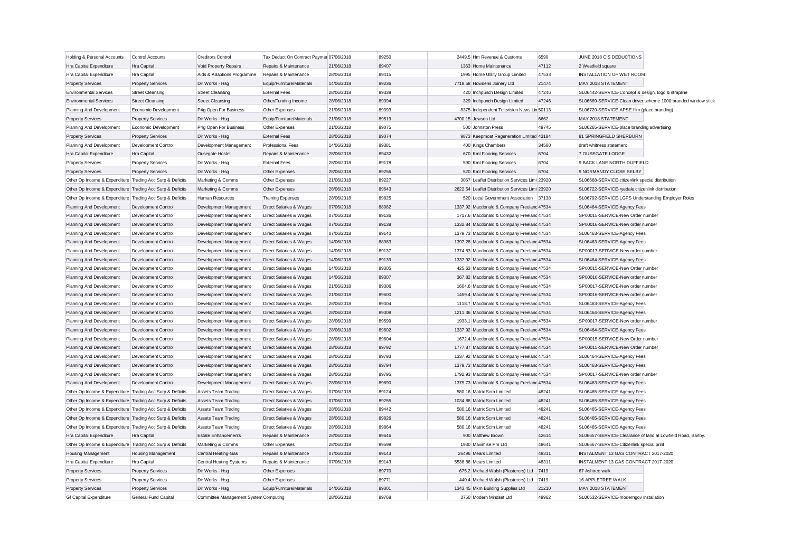| Holding & Personal Accounts                               | Control Accounts            | <b>Creditors Control</b>              | Tax Deduct On Contract Paymer 07/06/2018 |            | 89250 | 2449.5 Hm Revenue & Customs                      | 6590  | JUNE 2018 CIS DEDUCTIONS                                    |                                                               |
|-----------------------------------------------------------|-----------------------------|---------------------------------------|------------------------------------------|------------|-------|--------------------------------------------------|-------|-------------------------------------------------------------|---------------------------------------------------------------|
| Hra Capital Expenditure                                   | <b>Hra Capital</b>          | Void Property Repairs                 | Repairs & Maintenance                    | 21/06/2018 | 89407 | 1363 Home Maintenance                            | 47112 | 2 Westfield square                                          |                                                               |
| Hra Capital Expenditure                                   | Hra Capital                 | Aids & Adaptions Programme            | Repairs & Maintenance                    | 28/06/2018 | 89415 | 1995 Home Utility Group Limited                  | 47533 | INSTALLATION OF WET ROOM                                    |                                                               |
| <b>Property Services</b>                                  | <b>Property Services</b>    | Dir Works - Hsg                       | Equip/Furniture/Materials                | 14/06/2018 | 89236 | 7718.58 Howdens Joinery Ltd                      | 21474 | MAY 2018 STATEMENT                                          |                                                               |
| <b>Environmental Services</b>                             | <b>Street Cleansing</b>     | <b>Street Cleansing</b>               | <b>External Fees</b>                     | 28/06/2018 | 89338 | 420 Inchpunch Design Limited                     | 47246 | SL06442-SERVICE-Concept & design, logo & strapline          |                                                               |
| <b>Environmental Services</b>                             | <b>Street Cleansing</b>     | <b>Street Cleansing</b>               | Other/Funding Income                     | 28/06/2018 | 89394 | 329 Inchpunch Design Limited                     | 47246 |                                                             | SL06669-SERVICE-Clean driver scheme 1000 branded window stick |
| Planning And Development                                  | Economic Development        | P4g Open For Business                 | Other Expenses                           | 21/06/2018 | 89393 | 8375 Independent Television News Lin 50113       |       | SL06720-SERVICE-APSE film (place branding)                  |                                                               |
| <b>Property Services</b>                                  | <b>Property Services</b>    | Dir Works - Hsg                       | Equip/Furniture/Materials                | 21/06/2018 | 89519 | 4700.15 Jewson Ltd                               | 6662  | MAY 2018 STATEMENT                                          |                                                               |
| Planning And Development                                  | Economic Development        | P4g Open For Business                 | Other Expenses                           | 21/06/2018 | 89075 | 500 Johnston Press                               | 49745 | SL06265-SERVICE-place branding advertising                  |                                                               |
| <b>Property Services</b>                                  | <b>Property Services</b>    | Dir Works - Hsg                       | <b>External Fees</b>                     | 28/06/2018 | 89074 | 9873 Keepmoat Regeneration Limited 43184         |       | 81 SPRINGFIELD SHERBURN                                     |                                                               |
| Planning And Development                                  | Development Control         | Development Management                | Professional Fees                        | 14/06/2018 | 89381 | 400 Kings Chambers                               | 34560 | draft whitness statement                                    |                                                               |
| Hra Capital Expenditure                                   | Hra Capital                 | Ousegate Hostel                       | Repairs & Maintenance                    | 28/06/2018 | 89432 | 670 Kml Flooring Services                        | 6704  | 7 OUSEGATE LODGE                                            |                                                               |
| <b>Property Services</b>                                  | <b>Property Services</b>    | Dir Works - Hsg                       | <b>External Fees</b>                     | 28/06/2018 | 89178 | 590 Kml Flooring Services                        | 6704  | 9 BACK LANE NORTH DUFFIELD                                  |                                                               |
| <b>Property Services</b>                                  | <b>Property Services</b>    | Dir Works - Hsg                       | Other Expenses                           | 28/06/2018 | 89256 | 520 Kml Flooring Services                        | 6704  | 9 NORMANDY CLOSE SELBY                                      |                                                               |
| Other Op Income & Expenditure Trading Acc Surp & Deficits |                             | Marketing & Comms                     | Other Expenses                           | 21/06/2018 | 89227 | 3057 Leaflet Distribution Services Limi 23920    |       | SL06668-SERVICE-citizenlink special distribution            |                                                               |
| Other Op Income & Expenditure Trading Acc Surp & Deficits |                             | Marketing & Comms                     | Other Expenses                           | 28/06/2018 | 89643 | 2622.54 Leaflet Distribution Services Limi 23920 |       | SL06722-SERVICE-ryedale citizenlink distribution            |                                                               |
| Other Op Income & Expenditure Trading Acc Surp & Deficits |                             | Human Resources                       | <b>Training Expenses</b>                 | 28/06/2018 | 89825 | 520 Local Government Association 37138           |       | SL06792-SERVICE-LGPS Understanding Employer Roles           |                                                               |
| Planning And Development                                  | Development Control         | Development Management                | Direct Salaries & Wages                  | 07/06/2018 | 88982 | 1337.92 Macdonald & Company Freelanc 47534       |       | SL06464-SERVICE-Agency Fees                                 |                                                               |
| Planning And Development                                  | Development Control         | Development Management                | Direct Salaries & Wages                  | 07/06/2018 | 89136 | 1717.6 Macdonald & Company Freeland 47534        |       | SP00015-SERVICE-New Order number                            |                                                               |
| Planning And Development                                  | <b>Development Control</b>  | Development Management                | Direct Salaries & Wages                  | 07/06/2018 | 89138 | 1332.84 Macdonald & Company Freelanc 47534       |       | SP00016-SERVICE-New order number                            |                                                               |
| Planning And Development                                  | Development Control         | Development Management                | Direct Salaries & Wages                  | 07/06/2018 | 89140 | 1379.73 Macdonald & Company Freeland 47534       |       | SL06463-SERVICE-Agency Fees                                 |                                                               |
| Planning And Development                                  | Development Control         | Development Management                | Direct Salaries & Wages                  | 14/06/2018 | 88983 | 1397.28 Macdonald & Company Freelanc 47534       |       | SL06463-SERVICE-Agency Fees                                 |                                                               |
| Planning And Development                                  | Development Control         | Development Management                | Direct Salaries & Wages                  | 14/06/2018 | 89137 | 1374.83 Macdonald & Company Freeland 47534       |       | SP00017-SERVICE-New order number                            |                                                               |
| Planning And Development                                  | <b>Development Control</b>  | Development Management                | Direct Salaries & Wages                  | 14/06/2018 | 89139 | 1337.92 Macdonald & Company Freelanc 47534       |       | SL06464-SERVICE-Agency Fees                                 |                                                               |
| Planning And Development                                  | Development Control         | Development Management                | Direct Salaries & Wages                  | 14/06/2018 | 89305 | 425.63 Macdonald & Company Freeland 47534        |       | SP00015-SERVICE-New Order number                            |                                                               |
| Planning And Development                                  | Development Control         | Development Management                | Direct Salaries & Wages                  | 14/06/2018 | 89307 | 367.82 Macdonald & Company Freeland 47534        |       | SP00016-SERVICE-New order number                            |                                                               |
| Planning And Development                                  | Development Control         | Development Management                | Direct Salaries & Wages                  | 21/06/2018 | 89306 | 1604.6 Macdonald & Company Freeland 47534        |       | SP00017-SERVICE-New order number                            |                                                               |
| Planning And Development                                  | Development Control         | Development Management                | Direct Salaries & Wages                  | 21/06/2018 | 89600 | 1459.4 Macdonald & Company Freeland 47534        |       | SP00016-SERVICE-New order number                            |                                                               |
| Planning And Development                                  | Development Control         | Development Management                | Direct Salaries & Wages                  | 28/06/2018 | 89304 | 1118.7 Macdonald & Company Freeland 47534        |       | SL06463-SERVICE-Agency Fees                                 |                                                               |
| Planning And Development                                  | Development Control         | Development Management                | Direct Salaries & Wages                  | 28/06/2018 | 89308 | 1211.36 Macdonald & Company Freeland 47534       |       | SL06464-SERVICE-Agency Fees                                 |                                                               |
| Planning And Development                                  | Development Control         | Development Management                | Direct Salaries & Wages                  | 28/06/2018 | 89599 | 1933.1 Macdonald & Company Freeland 47534        |       | SP00017-SERVICE-New order number                            |                                                               |
| Planning And Development                                  | <b>Development Control</b>  | Development Management                | Direct Salaries & Wages                  | 28/06/2018 | 89602 | 1337.92 Macdonald & Company Freelanc 47534       |       | SL06464-SERVICE-Agency Fees                                 |                                                               |
| Planning And Development                                  | Development Control         | Development Management                | Direct Salaries & Wages                  | 28/06/2018 | 89604 | 1672.4 Macdonald & Company Freeland 47534        |       | SP00015-SERVICE-New Order number                            |                                                               |
| Planning And Development                                  | Development Control         | Development Management                | Direct Salaries & Wages                  | 28/06/2018 | 89792 | 1777.87 Macdonald & Company Freelanc 47534       |       | SP00015-SERVICE-New Order number                            |                                                               |
| Planning And Development                                  | Development Control         | Development Management                | Direct Salaries & Wages                  | 28/06/2018 | 89793 | 1337.92 Macdonald & Company Freeland 47534       |       | SL06464-SERVICE-Agency Fees                                 |                                                               |
| Planning And Development                                  | Development Control         | Development Management                | Direct Salaries & Wages                  | 28/06/2018 | 89794 | 1379.73 Macdonald & Company Freelanc 47534       |       | SL06463-SERVICE-Agency Fees                                 |                                                               |
| Planning And Development                                  | Development Control         | Development Management                | Direct Salaries & Wages                  | 28/06/2018 | 89795 | 1792.93 Macdonald & Company Freeland 47534       |       | SP00017-SERVICE-New order number                            |                                                               |
| Planning And Development                                  | <b>Development Control</b>  | Development Management                | Direct Salaries & Wages                  | 28/06/2018 | 89890 | 1379.73 Macdonald & Company Freeland 47534       |       | SL06463-SERVICE-Agency Fees                                 |                                                               |
| Other Op Income & Expenditure Trading Acc Surp & Deficits |                             | Assets Team Trading                   | Direct Salaries & Wages                  | 07/06/2018 | 89124 | 580.16 Matrix Scm Limited                        | 48241 | SL06465-SERVICE-Agency Fees                                 |                                                               |
| Other Op Income & Expenditure Trading Acc Surp & Deficits |                             | <b>Assets Team Trading</b>            | Direct Salaries & Wages                  | 07/06/2018 | 89255 | 1034.88 Matrix Scm Limited                       | 48241 | SL06465-SERVICE-Agency Fees                                 |                                                               |
| Other Op Income & Expenditure Trading Acc Surp & Deficits |                             | Assets Team Trading                   | Direct Salaries & Wages                  | 28/06/2018 | 89442 | 580.16 Matrix Scm Limited                        | 48241 | SL06465-SERVICE-Agency Fees                                 |                                                               |
| Other Op Income & Expenditure Trading Acc Surp & Deficits |                             | <b>Assets Team Trading</b>            | Direct Salaries & Wages                  | 28/06/2018 | 89826 | 580.16 Matrix Scm Limited                        | 48241 | SL06465-SERVICE-Agency Fees                                 |                                                               |
| Other Op Income & Expenditure Trading Acc Surp & Deficits |                             | Assets Team Trading                   | Direct Salaries & Wages                  | 28/06/2018 | 89864 | 580.16 Matrix Scm Limited                        | 48241 | SL06465-SERVICE-Agency Fees                                 |                                                               |
| Hra Capital Expenditure                                   | Hra Capital                 | <b>Estate Enhancements</b>            | Repairs & Maintenance                    | 28/06/2018 | 89646 | 900 Matthew Brown                                | 42614 | SL06657-SERVICE-Clearance of land at Lowfield Road, Barlby. |                                                               |
| Other Op Income & Expenditure Trading Acc Surp & Deficits |                             | Marketing & Comms                     | Other Expenses                           | 28/06/2018 | 89598 | 1930 Maximise Pm Ltd                             | 48641 | SL06667-SERVICE-Citizenlink special print                   |                                                               |
| <b>Housing Management</b>                                 | <b>Housing Management</b>   | Central Heating-Gas                   | Repairs & Maintenance                    | 07/06/2018 | 89143 | 26496 Mears Limited                              | 48311 | INSTALMENT 13 GAS CONTRACT 2017-2020                        |                                                               |
| Hra Capital Expenditure                                   | Hra Capital                 | <b>Central Heating Systems</b>        | Repairs & Maintenance                    | 07/06/2018 | 89143 | 5538.86 Mears Limited                            | 48311 | INSTALMENT 13 GAS CONTRACT 2017-2020                        |                                                               |
| <b>Property Services</b>                                  | <b>Property Services</b>    | Dir Works - Hsg                       | Other Expenses                           |            | 89770 | 675.2 Michael Walsh (Plasterers) Ltd             | 7419  | 67 Ashtree walk                                             |                                                               |
| <b>Property Services</b>                                  | <b>Property Services</b>    | Dir Works - Hsg                       | Other Expenses                           |            | 89771 | 440.4 Michael Walsh (Plasterers) Ltd             | 7419  | 16 APPLETREE WALK                                           |                                                               |
| <b>Property Services</b>                                  | <b>Property Services</b>    | Dir Works - Hsg                       | Equip/Furniture/Materials                | 14/06/2018 | 89301 | 1343.45 Mkm Building Supplies Ltd                | 21210 | MAY 2018 STATEMENT                                          |                                                               |
| <b>Gf Capital Expenditure</b>                             | <b>General Fund Capital</b> | Committee Management System Computing |                                          | 28/06/2018 | 89768 | 3750 Modern Mindset Ltd                          | 49962 | SL06532-SERVICE-moderngov Installation                      |                                                               |
|                                                           |                             |                                       |                                          |            |       |                                                  |       |                                                             |                                                               |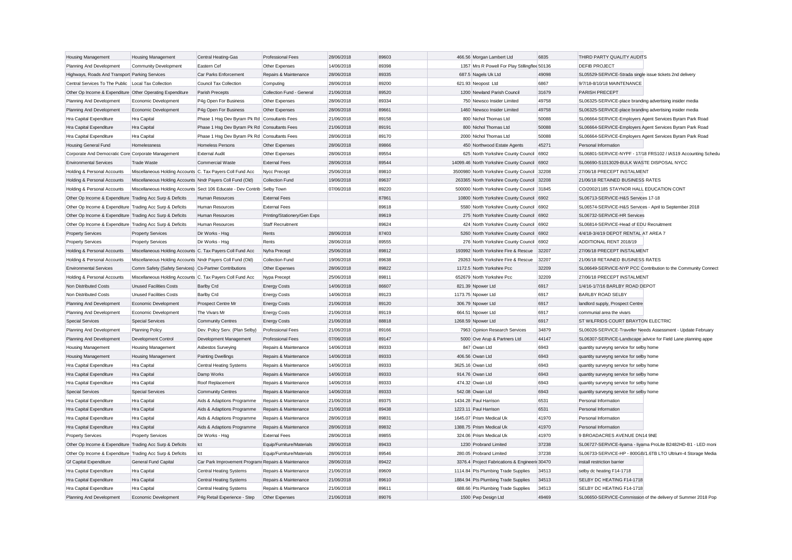| Housing Management                                        | <b>Housing Management</b>                                                | Central Heating-Gas                                 | Professional Fees            | 28/06/2018 | 89603 | 466.56 Morgan Lambert Ltd                      | 6835  | THIRD PARTY QUALITY AUDITS                                      |                                                               |
|-----------------------------------------------------------|--------------------------------------------------------------------------|-----------------------------------------------------|------------------------------|------------|-------|------------------------------------------------|-------|-----------------------------------------------------------------|---------------------------------------------------------------|
| Planning And Development                                  | <b>Community Development</b>                                             | Eastern Cef                                         | Other Expenses               | 14/06/2018 | 89398 | 1357 Mrs R Powell For Play Stillingflee 50136  |       | DEFIB PROJECT                                                   |                                                               |
| Highways, Roads And Transport Parking Services            |                                                                          | Car Parks Enforcement                               | Repairs & Maintenance        | 28/06/2018 | 89335 | 687.5 Nagels Uk Ltd                            | 49098 | SL05529-SERVICE-Strada single issue tickets 2nd delivery        |                                                               |
| Central Services To The Public   Local Tax Collection     |                                                                          | Council Tax Collection                              | Computing                    | 28/06/2018 | 89200 | 621.93 Neopost Ltd                             | 6867  | 9/7/18-8/10/18 MAINTENANCE                                      |                                                               |
| Other Op Income & Expenditure Other Operating Expenditure |                                                                          | Parish Precepts                                     | Collection Fund - General    | 21/06/2018 | 89520 | 1200 Newland Parish Council                    | 31679 | PARISH PRECEPT                                                  |                                                               |
| Planning And Development                                  | Economic Development                                                     | P4g Open For Business                               | Other Expenses               | 28/06/2018 | 89334 | 750 Newsco Insider Limited                     | 49758 | SL06325-SERVICE-place branding advertising insider media        |                                                               |
| Planning And Development                                  | Economic Development                                                     | P4g Open For Business                               | Other Expenses               | 28/06/2018 | 89661 | 1460 Newsco Insider Limited                    | 49758 | SL06325-SERVICE-place branding advertising insider media        |                                                               |
| Hra Capital Expenditure                                   | Hra Capital                                                              | Phase 1 Hsg Dev Byram Pk Rd Consultants Fees        |                              | 21/06/2018 | 89158 | 800 Nichol Thomas Ltd                          | 50088 |                                                                 | SL06664-SERVICE-Employers Agent Services Byram Park Road      |
| Hra Capital Expenditure                                   | <b>Hra Capital</b>                                                       | Phase 1 Hsq Dev Byram Pk Rd Consultants Fees        |                              | 21/06/2018 | 89191 | 800 Nichol Thomas Ltd                          | 50088 |                                                                 | SL06664-SERVICE-Employers Agent Services Byram Park Road      |
| Hra Capital Expenditure                                   | Hra Capital                                                              | Phase 1 Hsg Dev Byram Pk Rd Consultants Fees        |                              | 28/06/2018 | 89170 | 2000 Nichol Thomas Ltd                         | 50088 |                                                                 | SL06664-SERVICE-Employers Agent Services Byram Park Road      |
| <b>Housing General Fund</b>                               | Homelessness                                                             | <b>Homeless Persons</b>                             | Other Expenses               | 28/06/2018 | 89866 | 450 Northwood Estate Agents                    | 45271 | Personal Information                                            |                                                               |
| Corporate And Democratic Core Corporate Management        |                                                                          | <b>External Audit</b>                               | Other Expenses               | 28/06/2018 | 89554 | 625 North Yorkshire County Council 6902        |       |                                                                 | SL06801-SERVICE-NYPF - 17/18 FRS102 / IAS19 Accounting Schedu |
| <b>Environmental Services</b>                             | <b>Trade Waste</b>                                                       | <b>Commercial Waste</b>                             | <b>External Fees</b>         | 28/06/2018 | 89544 | 14099.46 North Yorkshire County Council        | 6902  | SL06690-S1013029-BULK WASTE DISPOSAL NYCC                       |                                                               |
| Holding & Personal Accounts                               | Miscellaneous Holding Accounts C. Tax Payers Coll Fund Acc               |                                                     | Nycc Precept                 | 25/06/2018 | 89810 | 3500980 North Yorkshire County Council 32208   |       | 27/06/18 PRECEPT INSTALMENT                                     |                                                               |
| Holding & Personal Accounts                               | Miscellaneous Holding Accounts Nndr Payers Coll Fund (Old)               |                                                     | Collection Fund              | 19/06/2018 | 89637 | 263365 North Yorkshire County Council 32208    |       | 21/06/18 RETAINED BUSINESS RATES                                |                                                               |
| Holding & Personal Accounts                               | Miscellaneous Holding Accounts Sect 106 Educate - Dev Contrib Selby Town |                                                     |                              | 07/06/2018 | 89220 | 500000 North Yorkshire County Council 31845    |       | CO/2002/1185 STAYNOR HALL EDUCATION CONT                        |                                                               |
| Other Op Income & Expenditure Trading Acc Surp & Deficits |                                                                          | <b>Human Resources</b>                              | <b>External Fees</b>         |            | 87861 | 10800 North Yorkshire County Council 6902      |       | SL06713-SERVICE-H&S Services 17-18                              |                                                               |
| Other Op Income & Expenditure Trading Acc Surp & Deficits |                                                                          | Human Resources                                     | <b>External Fees</b>         |            | 89618 | 5580 North Yorkshire County Council 6902       |       | SL06574-SERVICE-H&S Services - April to September 2018          |                                                               |
| Other Op Income & Expenditure Trading Acc Surp & Deficits |                                                                          | Human Resources                                     | Printing/Stationery/Gen Exps |            | 89619 | 275 North Yorkshire County Council 6902        |       | SL06732-SERVICE-HR Services                                     |                                                               |
| Other Op Income & Expenditure Trading Acc Surp & Deficits |                                                                          | Human Resources                                     | <b>Staff Recruitment</b>     |            | 89624 | 424 North Yorkshire County Council 6902        |       | SL06814-SERVICE-Head of EDU Recruitment                         |                                                               |
| <b>Property Services</b>                                  | <b>Property Services</b>                                                 | Dir Works - Hsg                                     | Rents                        | 28/06/2018 | 87403 | 5260 North Yorkshire County Council 6902       |       | 4/4/18-3/4/19 DEPOT RENTAL AT AREA 7                            |                                                               |
| <b>Property Services</b>                                  | <b>Property Services</b>                                                 | Dir Works - Hsg                                     | Rents                        | 28/06/2018 | 89555 | 276 North Yorkshire County Council 6902        |       | ADDITIONAL RENT 2018/19                                         |                                                               |
| Holding & Personal Accounts                               | Miscellaneous Holding Accounts C. Tax Payers Coll Fund Acc               |                                                     | Nyfra Precept                | 25/06/2018 | 89812 | 193992 North Yorkshire Fire & Rescue           | 32207 | 27/06/18 PRECEPT INSTALMENT                                     |                                                               |
| Holding & Personal Accounts                               | Miscellaneous Holding Accounts Nndr Payers Coll Fund (Old)               |                                                     | Collection Fund              | 19/06/2018 | 89638 | 29263 North Yorkshire Fire & Rescue            | 32207 | 21/06/18 RETAINED BUSINESS RATES                                |                                                               |
| <b>Environmental Services</b>                             | Comm Safety (Safety Services) Cs-Partner Contributions                   |                                                     | Other Expenses               | 28/06/2018 | 89822 | 1172.5 North Yorkshire Pcc                     | 32209 |                                                                 | SL06649-SERVICE-NYP PCC Contribution to the Community Connect |
| Holding & Personal Accounts                               | Miscellaneous Holding Accounts C. Tax Payers Coll Fund Acc               |                                                     | Nypa Precept                 | 25/06/2018 | 89811 | 652679 North Yorkshire Pcc                     | 32209 | 27/06/18 PRECEPT INSTALMENT                                     |                                                               |
| Non Distributed Costs                                     | <b>Unused Facilities Costs</b>                                           | Barlby Crd                                          | <b>Energy Costs</b>          | 14/06/2018 | 86607 | 821.39 Npower Ltd                              | 6917  | 1/4/16-1/7/16 BARLBY ROAD DEPOT                                 |                                                               |
| Non Distributed Costs                                     | <b>Unused Facilities Costs</b>                                           | <b>Barlby Crd</b>                                   | <b>Energy Costs</b>          | 14/06/2018 | 89123 | 1173.75 Npower Ltd                             | 6917  | <b>BARLBY ROAD SELBY</b>                                        |                                                               |
|                                                           | Economic Development                                                     | Prospect Centre Mr                                  | <b>Energy Costs</b>          | 21/06/2018 | 89120 | 306.79 Npower Ltd                              | 6917  | landlord supply, Prospect Centre                                |                                                               |
| Planning And Development                                  |                                                                          |                                                     | <b>Energy Costs</b>          | 21/06/2018 | 89119 | 664.51 Npower Ltd                              | 6917  |                                                                 |                                                               |
| Planning And Development                                  | Economic Development                                                     | The Vivars Mr                                       |                              | 21/06/2018 | 88818 |                                                | 6917  | communial area the vivars<br>ST WILFRIDS COURT BRAYTON ELECTRIC |                                                               |
| <b>Special Services</b>                                   | <b>Special Services</b>                                                  | <b>Community Centres</b>                            | <b>Energy Costs</b>          |            |       | 1268.59 Npower Ltd                             |       |                                                                 |                                                               |
| Planning And Development                                  | Planning Policy                                                          | Dev. Policy Serv. (Plan Selby)                      | <b>Professional Fees</b>     | 21/06/2018 | 89166 | 7963 Opinion Research Services                 | 34879 |                                                                 | SL06026-SERVICE-Traveller Needs Assessment - Update February  |
| Planning And Development                                  | Development Control                                                      | Development Management                              | Professional Fees            | 07/06/2018 | 89147 | 5000 Ove Arup & Partners Ltd                   | 44147 |                                                                 | SL06307-SERVICE-Landscape advice for Field Lane planning appe |
| <b>Housing Management</b>                                 | <b>Housing Management</b>                                                | Asbestos Surveying                                  | Repairs & Maintenance        | 14/06/2018 | 89333 | 847 Owan Ltd                                   | 6943  | quantity surveyng service for selby home                        |                                                               |
| Housing Management                                        | <b>Housing Management</b>                                                | <b>Painting Dwellings</b>                           | Repairs & Maintenance        | 14/06/2018 | 89333 | 406.56 Owan Ltd                                | 6943  | quantity surveyng service for selby home                        |                                                               |
| Hra Capital Expenditure                                   | Hra Capital                                                              | Central Heating Systems                             | Repairs & Maintenance        | 14/06/2018 | 89333 | 3625.16 Owan Ltd                               | 6943  | quantity surveyng service for selby home                        |                                                               |
| Hra Capital Expenditure                                   | Hra Capital                                                              | Damp Works                                          | Repairs & Maintenance        | 14/06/2018 | 89333 | 914.76 Owan Ltd                                | 6943  | quantity surveyng service for selby home                        |                                                               |
| Hra Capital Expenditure                                   | Hra Capital                                                              | Roof Replacement                                    | Repairs & Maintenance        | 14/06/2018 | 89333 | 474.32 Owan Ltd                                | 6943  | quantity surveyng service for selby home                        |                                                               |
| <b>Special Services</b>                                   | <b>Special Services</b>                                                  | <b>Community Centres</b>                            | Repairs & Maintenance        | 14/06/2018 | 89333 | 542.08 Owan Ltd                                | 6943  | quantity surveyng service for selby home                        |                                                               |
| Hra Capital Expenditure                                   | Hra Capital                                                              | Aids & Adaptions Programme                          | Repairs & Maintenance        | 21/06/2018 | 89375 | 1434.28 Paul Harrison                          | 6531  | Personal Information                                            |                                                               |
| Hra Capital Expenditure                                   | Hra Capital                                                              | Aids & Adaptions Programme                          | Repairs & Maintenance        | 21/06/2018 | 89438 | 1223.11 Paul Harrison                          | 6531  | Personal Information                                            |                                                               |
| Hra Capital Expenditure                                   | Hra Capital                                                              | Aids & Adaptions Programme                          | Repairs & Maintenance        | 28/06/2018 | 89831 | 1645.07 Prism Medical Uk                       | 41970 | Personal Information                                            |                                                               |
| Hra Capital Expenditure                                   | Hra Capital                                                              | Aids & Adaptions Programme                          | Repairs & Maintenance        | 28/06/2018 | 89832 | 1388.75 Prism Medical Uk                       | 41970 | Personal Information                                            |                                                               |
| <b>Property Services</b>                                  | <b>Property Services</b>                                                 | Dir Works - Hsg                                     | <b>External Fees</b>         | 28/06/2018 | 89855 | 324.06 Prism Medical Uk                        | 41970 | 9 BROADACRES AVENUE DN14 9NE                                    |                                                               |
| Other Op Income & Expenditure Trading Acc Surp & Deficits |                                                                          | Ict                                                 | Equip/Furniture/Materials    | 28/06/2018 | 89433 | 1230 Probrand Limited                          | 37238 |                                                                 | SL06727-SERVICE-liyama - liyama ProLite B2482HD-B1 - LED moni |
| Other Op Income & Expenditure Trading Acc Surp & Deficits |                                                                          | Ict                                                 | Equip/Furniture/Materials    | 28/06/2018 | 89546 | 280.05 Probrand Limited                        | 37238 |                                                                 | SL06733-SERVICE-HP - 800GB/1.6TB LTO Ultrium-4 Storage Media  |
| <b>Gf Capital Expenditure</b>                             | General Fund Capital                                                     | Car Park Improvement Program: Repairs & Maintenance |                              | 28/06/2018 | 89422 | 3376.4 Project Fabrications & Engineerir 30470 |       | install restriction barrier                                     |                                                               |
| Hra Capital Expenditure                                   | Hra Capital                                                              | <b>Central Heating Systems</b>                      | Repairs & Maintenance        | 21/06/2018 | 89609 | 1114.84 Pts Plumbing Trade Supplies            | 34513 | selby dc heating F14-1718                                       |                                                               |
| Hra Capital Expenditure                                   | <b>Hra Capital</b>                                                       | <b>Central Heating Systems</b>                      | Repairs & Maintenance        | 21/06/2018 | 89610 | 1884.94 Pts Plumbing Trade Supplies            | 34513 | SELBY DC HEATING F14-1718                                       |                                                               |
| Hra Capital Expenditure                                   | Hra Capital                                                              | <b>Central Heating Systems</b>                      | Repairs & Maintenance        | 21/06/2018 | 89611 | 688.66 Pts Plumbing Trade Supplies             | 34513 | SELBY DC HEATING F14-1718                                       |                                                               |
| Planning And Development                                  | Economic Development                                                     | P4g Retail Experience - Step                        | Other Expenses               | 21/06/2018 | 89076 | 1500 Pwp Design Ltd                            | 49469 |                                                                 | SL06650-SERVICE-Commission of the delivery of Summer 2018 Pop |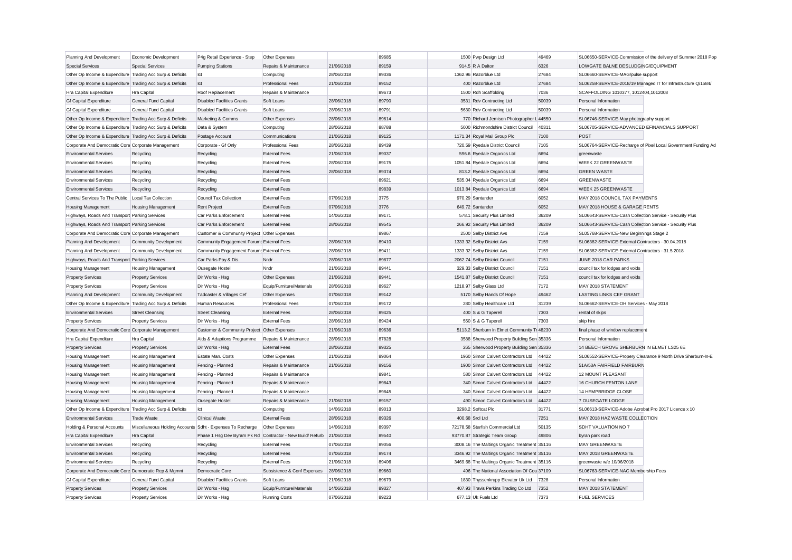| Planning And Development                                  | Economic Development                                       | P4g Retail Experience - Step                | Other Expenses                 |            | 89685 | 1500 Pwp Design Ltd                          | 49469 |                                                         | SL06650-SERVICE-Commission of the delivery of Summer 2018 Pop |
|-----------------------------------------------------------|------------------------------------------------------------|---------------------------------------------|--------------------------------|------------|-------|----------------------------------------------|-------|---------------------------------------------------------|---------------------------------------------------------------|
| <b>Special Services</b>                                   | <b>Special Services</b>                                    | <b>Pumping Stations</b>                     | Repairs & Maintenance          | 21/06/2018 | 89159 | 914.5 R A Dalton                             | 6326  | LOWGATE BALNE DESLUDGING/EQUIPMENT                      |                                                               |
| Other Op Income & Expenditure Trading Acc Surp & Deficits |                                                            | lct                                         | Computing                      | 28/06/2018 | 89336 | 1362.96 Razorblue Ltd                        | 27684 | SL06660-SERVICE-MAG/pulse support                       |                                                               |
| Other Op Income & Expenditure Trading Acc Surp & Deficits |                                                            | Ict                                         | Professional Fees              | 21/06/2018 | 89152 | 400 Razorblue Ltd                            | 27684 |                                                         | SL06258-SERVICE-2018/19 Managed IT for Infrastructure Q/1584/ |
| Hra Capital Expenditure                                   | Hra Capital                                                | Roof Replacement                            | Repairs & Maintenance          |            | 89673 | 1500 Rdh Scaffolding                         | 7036  | SCAFFOLDING 1010377, 1012404,1012008                    |                                                               |
| <b>Gf Capital Expenditure</b>                             | General Fund Capital                                       | <b>Disabled Facilities Grants</b>           | Soft Loans                     | 28/06/2018 | 89790 | 3531 Rdv Contracting Ltd                     | 50039 | Personal Information                                    |                                                               |
| <b>Gf Capital Expenditure</b>                             | General Fund Capital                                       | <b>Disabled Facilities Grants</b>           | Soft Loans                     | 28/06/2018 | 89791 | 5630 Rdv Contracting Ltd                     | 50039 | Personal Information                                    |                                                               |
| Other Op Income & Expenditure Trading Acc Surp & Deficits |                                                            | Marketing & Comms                           | Other Expenses                 | 28/06/2018 | 89614 | 770 Richard Jemison Photographer L 44550     |       | SL06746-SERVICE-May photography support                 |                                                               |
| Other Op Income & Expenditure Trading Acc Surp & Deficits |                                                            | Data & System                               | Computing                      | 28/06/2018 | 88788 | 5000 Richmondshire District Council          | 40311 | SL06705-SERVICE-ADVANCED EFINANCIALS SUPPORT            |                                                               |
| Other Op Income & Expenditure Trading Acc Surp & Deficits |                                                            | Postage Account                             | Communications                 | 21/06/2018 | 89125 | 1171.34 Royal Mail Group Plc                 | 7100  | POST                                                    |                                                               |
| Corporate And Democratic Core Corporate Management        |                                                            | Corporate - Gf Only                         | Professional Fees              | 28/06/2018 | 89439 | 720.59 Ryedale District Council              | 7105  |                                                         | SL06764-SERVICE-Recharge of Pixel Local Government Funding Ad |
| <b>Environmental Services</b>                             | Recycling                                                  | Recycling                                   | <b>External Fees</b>           | 21/06/2018 | 89037 | 596.6 Ryedale Organics Ltd                   | 6694  | greenwaste                                              |                                                               |
| <b>Environmental Services</b>                             | Recycling                                                  | Recycling                                   | <b>External Fees</b>           | 28/06/2018 | 89175 | 1051.84 Ryedale Organics Ltd                 | 6694  | WEEK 22 GREENWASTE                                      |                                                               |
| <b>Environmental Services</b>                             | Recycling                                                  | Recycling                                   | <b>External Fees</b>           | 28/06/2018 | 89374 | 813.2 Ryedale Organics Ltd                   | 6694  | <b>GREEN WASTE</b>                                      |                                                               |
| <b>Environmental Services</b>                             | Recycling                                                  | Recycling                                   | <b>External Fees</b>           |            | 89621 | 535.04 Ryedale Organics Ltd                  | 6694  | <b>GREENWASTE</b>                                       |                                                               |
| <b>Environmental Services</b>                             | Recycling                                                  | Recycling                                   | <b>External Fees</b>           |            | 89839 | 1013.84 Ryedale Organics Ltd                 | 6694  | <b>WEEK 25 GREENWASTE</b>                               |                                                               |
| Central Services To The Public                            | Local Tax Collection                                       | Council Tax Collection                      | <b>External Fees</b>           | 07/06/2018 | 3775  | 970.29 Santander                             | 6052  | MAY 2018 COUNCIL TAX PAYMENTS                           |                                                               |
| <b>Housing Management</b>                                 | <b>Housing Management</b>                                  | <b>Rent Project</b>                         | <b>External Fees</b>           | 07/06/2018 | 3776  | 649.72 Santander                             | 6052  | MAY 2018 HOUSE & GARAGE RENTS                           |                                                               |
| Highways, Roads And Transport Parking Services            |                                                            | Car Parks Enforcement                       | <b>External Fees</b>           | 14/06/2018 | 89171 | 578.1 Security Plus Limited                  | 36209 | SL06643-SERVICE-Cash Collection Service - Security Plus |                                                               |
| Highways, Roads And Transport Parking Services            |                                                            | Car Parks Enforcement                       | <b>External Fees</b>           | 28/06/2018 | 89545 | 266.92 Security Plus Limited                 | 36209 | SL06643-SERVICE-Cash Collection Service - Security Plus |                                                               |
| Corporate And Democratic Core Corporate Management        |                                                            | Customer & Community Project Other Expenses |                                |            | 89867 | 2500 Selby District Avs                      | 7159  | SL05768-SERVICE-New Beginnings Stage 2                  |                                                               |
| Planning And Development                                  | <b>Community Development</b>                               | Community Engagement Forums External Fees   |                                | 28/06/2018 | 89410 | 1333.32 Selby District Avs                   | 7159  | SL06382-SERVICE-External Contractors - 30.04.2018       |                                                               |
| Planning And Development                                  | <b>Community Development</b>                               | Community Engagement Forums External Fees   |                                | 28/06/2018 | 89411 | 1333.32 Selby District Avs                   | 7159  | SL06382-SERVICE-External Contractors - 31.5.2018        |                                                               |
| Highways, Roads And Transport Parking Services            |                                                            | Car Parks Pay & Dis.                        | Nndr                           | 28/06/2018 | 89877 | 2062.74 Selby District Council               | 7151  | JUNE 2018 CAR PARKS                                     |                                                               |
| Housing Management                                        | <b>Housing Management</b>                                  | Ousegate Hostel                             | Nndr                           | 21/06/2018 | 89441 | 329.33 Selby District Council                | 7151  | council tax for lodges and voids                        |                                                               |
| <b>Property Services</b>                                  | <b>Property Services</b>                                   | Dir Works - Hsg                             | Other Expenses                 | 21/06/2018 | 89441 | 1541.87 Selby District Council               | 7151  | council tax for lodges and voids                        |                                                               |
| <b>Property Services</b>                                  | <b>Property Services</b>                                   | Dir Works - Hsg                             | Equip/Furniture/Materials      | 28/06/2018 | 89627 | 1218.97 Selby Glass Ltd                      | 7172  | MAY 2018 STATEMENT                                      |                                                               |
| Planning And Development                                  | Community Development                                      | Tadcaster & Villages Cef                    | Other Expenses                 | 07/06/2018 | 89142 | 5170 Selby Hands Of Hope                     | 49462 | <b>LASTING LINKS CEF GRANT</b>                          |                                                               |
|                                                           |                                                            | Human Resources                             | Professional Fees              | 07/06/2018 | 89172 | 280 Selby Healthcare Ltd                     | 31239 | SL06662-SERVICE-OH Services - May 2018                  |                                                               |
| Other Op Income & Expenditure Trading Acc Surp & Deficits |                                                            |                                             | <b>External Fees</b>           | 28/06/2018 | 89425 |                                              | 7303  |                                                         |                                                               |
| <b>Environmental Services</b>                             | <b>Street Cleansing</b>                                    | <b>Street Cleansing</b>                     |                                |            |       | 400 S & G Taperell                           |       | rental of skips                                         |                                                               |
| <b>Property Services</b>                                  | <b>Property Services</b>                                   | Dir Works - Hsg                             | <b>External Fees</b>           | 28/06/2018 | 89424 | 550 S & G Taperell                           | 7303  | skip hire                                               |                                                               |
| Corporate And Democratic Core Corporate Management        |                                                            | Customer & Community Project Other Expenses |                                | 21/06/2018 | 89636 | 5113.2 Sherburn In Elmet Community Tr 48230  |       | final phase of window replacement                       |                                                               |
| Hra Capital Expenditure                                   | Hra Capital                                                | Aids & Adaptions Programme                  | Repairs & Maintenance          | 28/06/2018 | 87828 | 3588 Sherwood Property Building Sen 35336    |       | Personal Information                                    |                                                               |
| <b>Property Services</b>                                  | <b>Property Services</b>                                   | Dir Works - Hsg                             | <b>External Fees</b>           | 28/06/2018 | 89325 | 265 Sherwood Property Building Sen 35336     |       | 14 BEECH GROVE SHERBURN IN ELMET LS25 6E                |                                                               |
| Housing Management                                        | <b>Housing Management</b>                                  | Estate Man. Costs                           | Other Expenses                 | 21/06/2018 | 89064 | 1960 Simon Calvert Contractors Ltd           | 44422 |                                                         | SL06552-SERVICE-Propery Clearance 9 North Drive Sherburn-In-E |
| <b>Housing Management</b>                                 | <b>Housing Management</b>                                  | Fencing - Planned                           | Repairs & Maintenance          | 21/06/2018 | 89156 | 1900 Simon Calvert Contractors Ltd           | 44422 | 51A/53A FAIRFIELD FAIRBURN                              |                                                               |
| Housing Management                                        | <b>Housing Management</b>                                  | Fencing - Planned                           | Repairs & Maintenance          |            | 89841 | 580 Simon Calvert Contractors Ltd            | 44422 | 12 MOUNT PLEASANT                                       |                                                               |
| <b>Housing Management</b>                                 | Housing Management                                         | Fencing - Planned                           | Repairs & Maintenance          |            | 89843 | 340 Simon Calvert Contractors Ltd            | 44422 | 16 CHURCH FENTON LANE                                   |                                                               |
| Housing Management                                        | <b>Housing Management</b>                                  | Fencing - Planned                           | Repairs & Maintenance          |            | 89845 | 340 Simon Calvert Contractors Ltd            | 44422 | 14 HEMPBRIDGE CLOSE                                     |                                                               |
| Housing Management                                        | <b>Housing Management</b>                                  | Ousegate Hostel                             | Repairs & Maintenance          | 21/06/2018 | 89157 | 490 Simon Calvert Contractors Ltd            | 44422 | 7 OUSEGATE LODGE                                        |                                                               |
| Other Op Income & Expenditure Trading Acc Surp & Deficits |                                                            | Ict                                         | Computing                      | 14/06/2018 | 89013 | 3298.2 Softcat Plc                           | 31771 | SL06613-SERVICE-Adobe Acrobat Pro 2017 Licence x 10     |                                                               |
| <b>Environmental Services</b>                             | Trade Waste                                                | <b>Clinical Waste</b>                       | <b>External Fees</b>           | 28/06/2018 | 89326 | 400.68 Srcl Ltd                              | 7251  | MAY 2018 HAZ WASTE COLLECTION                           |                                                               |
| Holding & Personal Accounts                               | Miscellaneous Holding Accounts Sdht - Expenses To Recharge |                                             | Other Expenses                 | 14/06/2018 | 89397 | 72178.58 Starfish Commercial Ltd             | 50135 | SDHT VALUATION NO 7                                     |                                                               |
| Hra Capital Expenditure                                   | Hra Capital                                                | Phase 1 Hsq Dev Byram Pk Rd                 | Contractor - New Build/ Refurb | 21/06/2018 | 89540 | 93770.87 Strategic Team Group                | 49806 | byran park road                                         |                                                               |
| <b>Environmental Services</b>                             | Recycling                                                  | Recycling                                   | <b>External Fees</b>           | 07/06/2018 | 89056 | 3008.16 The Maltings Organic Treatment 35116 |       | MAY GREENWASTE                                          |                                                               |
| <b>Environmental Services</b>                             | Recycling                                                  | Recycling                                   | <b>External Fees</b>           | 07/06/2018 | 89174 | 3346.92 The Maltings Organic Treatment 35116 |       | MAY 2018 GREENWASTE                                     |                                                               |
| <b>Environmental Services</b>                             | Recycling                                                  | Recycling                                   | <b>External Fees</b>           | 21/06/2018 | 89406 | 3469.68 The Maltings Organic Treatment 35116 |       | greenwaste w/e 10/06/2018                               |                                                               |
| Corporate And Democratic Core Democratic Rep & Mgmnt      |                                                            | Democratic Core                             | Subsistence & Conf Expenses    | 28/06/2018 | 89660 | 496 The National Association Of Cou 37109    |       | SL06763-SERVICE-NAC Membership Fees                     |                                                               |
| <b>Gf Capital Expenditure</b>                             | General Fund Capital                                       | <b>Disabled Facilities Grants</b>           | Soft Loans                     | 21/06/2018 | 89679 | 1830 Thyssenkrupp Elevator Uk Ltd            | 7328  | Personal Information                                    |                                                               |
| <b>Property Services</b>                                  | <b>Property Services</b>                                   | Dir Works - Hsg                             | Equip/Furniture/Materials      | 14/06/2018 | 89327 | 407.93 Travis Perkins Trading Co Ltd         | 7352  | MAY 2018 STATEMENT                                      |                                                               |
| <b>Property Services</b>                                  | <b>Property Services</b>                                   | Dir Works - Hsg                             | <b>Running Costs</b>           | 07/06/2018 | 89223 | 677.13 Uk Fuels Ltd                          | 7373  | <b>FUEL SERVICES</b>                                    |                                                               |